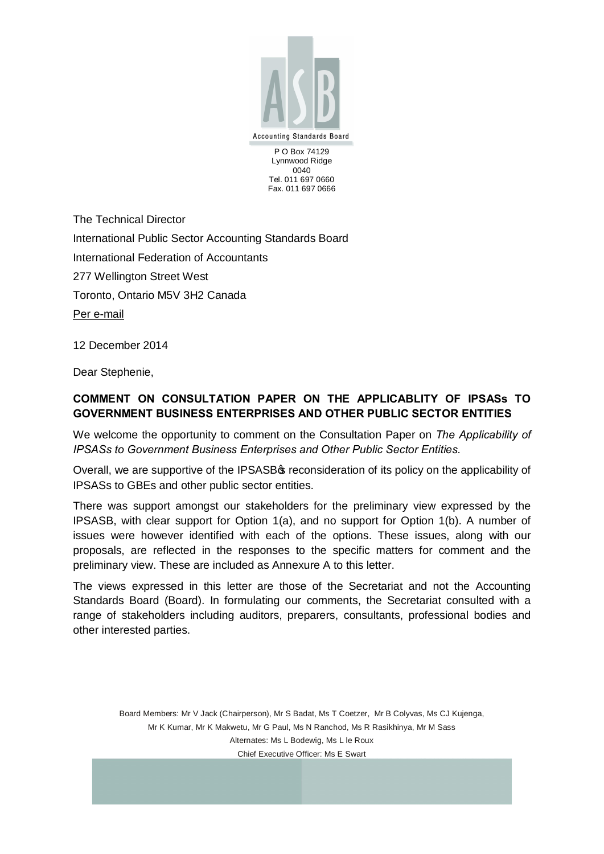

P O Box 74129 Lynnwood Ridge 0040 Tel. 011 697 0660 Fax. 011 697 0666

The Technical Director International Public Sector Accounting Standards Board International Federation of Accountants 277 Wellington Street West Toronto, Ontario M5V 3H2 Canada Per e-mail

12 December 2014

Dear Stephenie,

## **COMMENT ON CONSULTATION PAPER ON THE APPLICABLITY OF IPSASs TO GOVERNMENT BUSINESS ENTERPRISES AND OTHER PUBLIC SECTOR ENTITIES**

We welcome the opportunity to comment on the Consultation Paper on *The Applicability of IPSASs to Government Business Enterprises and Other Public Sector Entities.*

Overall, we are supportive of the IPSASB<sub><sup>\$</sub></sup> reconsideration of its policy on the applicability of</sub> IPSASs to GBEs and other public sector entities.

There was support amongst our stakeholders for the preliminary view expressed by the IPSASB, with clear support for Option 1(a), and no support for Option 1(b). A number of issues were however identified with each of the options. These issues, along with our proposals, are reflected in the responses to the specific matters for comment and the preliminary view. These are included as Annexure A to this letter.

The views expressed in this letter are those of the Secretariat and not the Accounting Standards Board (Board). In formulating our comments, the Secretariat consulted with a range of stakeholders including auditors, preparers, consultants, professional bodies and other interested parties.

Board Members: Mr V Jack (Chairperson), Mr S Badat, Ms T Coetzer, Mr B Colyvas, Ms CJ Kujenga, Mr K Kumar, Mr K Makwetu, Mr G Paul, Ms N Ranchod, Ms R Rasikhinya, Mr M Sass Alternates: Ms L Bodewig, Ms L le Roux Chief Executive Officer: Ms E Swart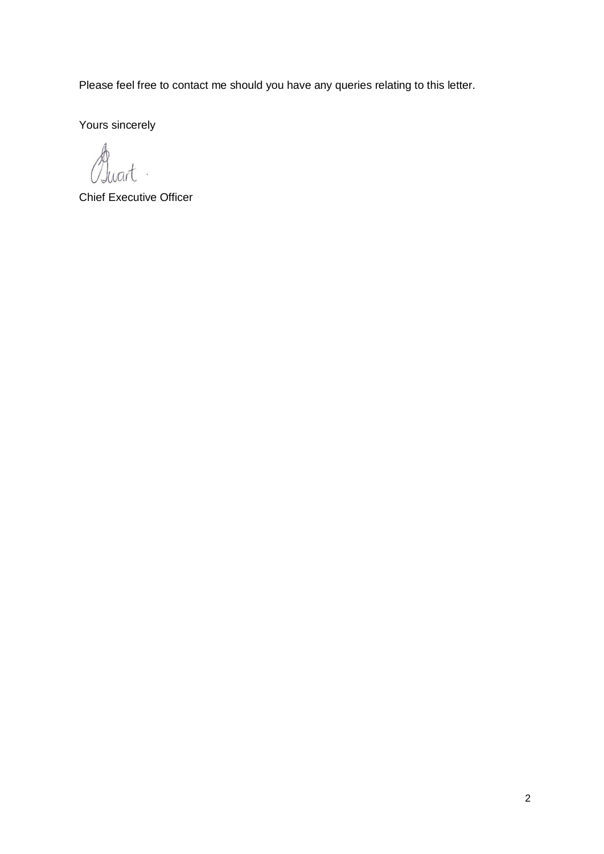Please feel free to contact me should you have any queries relating to this letter.

Yours sincerely

Quart

Chief Executive Officer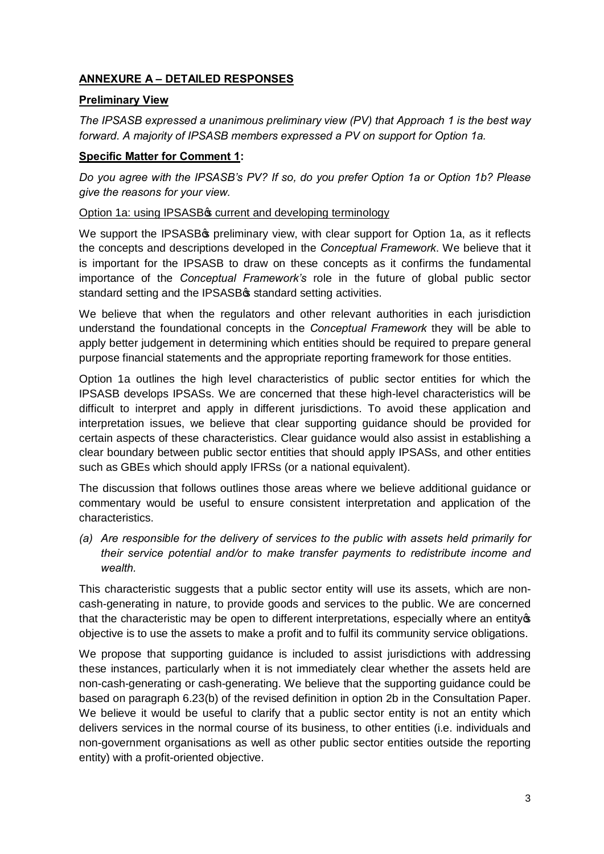# **ANNEXURE A – DETAILED RESPONSES**

## **Preliminary View**

*The IPSASB expressed a unanimous preliminary view (PV) that Approach 1 is the best way forward. A majority of IPSASB members expressed a PV on support for Option 1a.*

### **Specific Matter for Comment 1:**

*Do you agree with the IPSASB's PV? If so, do you prefer Option 1a or Option 1b? Please give the reasons for your view.*

### Option 1a: using IPSASB<sup>®</sup> current and developing terminology

We support the IPSASB<sup>®</sup> preliminary view, with clear support for Option 1a, as it reflects the concepts and descriptions developed in the *Conceptual Framework*. We believe that it is important for the IPSASB to draw on these concepts as it confirms the fundamental importance of the *Conceptual Framework's* role in the future of global public sector standard setting and the IPSASB $\boldsymbol{\mathfrak{s}}$  standard setting activities.

We believe that when the regulators and other relevant authorities in each jurisdiction understand the foundational concepts in the *Conceptual Framework* they will be able to apply better judgement in determining which entities should be required to prepare general purpose financial statements and the appropriate reporting framework for those entities.

Option 1a outlines the high level characteristics of public sector entities for which the IPSASB develops IPSASs. We are concerned that these high-level characteristics will be difficult to interpret and apply in different jurisdictions. To avoid these application and interpretation issues, we believe that clear supporting guidance should be provided for certain aspects of these characteristics. Clear guidance would also assist in establishing a clear boundary between public sector entities that should apply IPSASs, and other entities such as GBEs which should apply IFRSs (or a national equivalent).

The discussion that follows outlines those areas where we believe additional guidance or commentary would be useful to ensure consistent interpretation and application of the characteristics.

*(a) Are responsible for the delivery of services to the public with assets held primarily for their service potential and/or to make transfer payments to redistribute income and wealth.*

This characteristic suggests that a public sector entity will use its assets, which are noncash-generating in nature, to provide goods and services to the public. We are concerned that the characteristic may be open to different interpretations, especially where an entity objective is to use the assets to make a profit and to fulfil its community service obligations.

We propose that supporting guidance is included to assist jurisdictions with addressing these instances, particularly when it is not immediately clear whether the assets held are non-cash-generating or cash-generating. We believe that the supporting guidance could be based on paragraph 6.23(b) of the revised definition in option 2b in the Consultation Paper. We believe it would be useful to clarify that a public sector entity is not an entity which delivers services in the normal course of its business, to other entities (i.e. individuals and non-government organisations as well as other public sector entities outside the reporting entity) with a profit-oriented objective.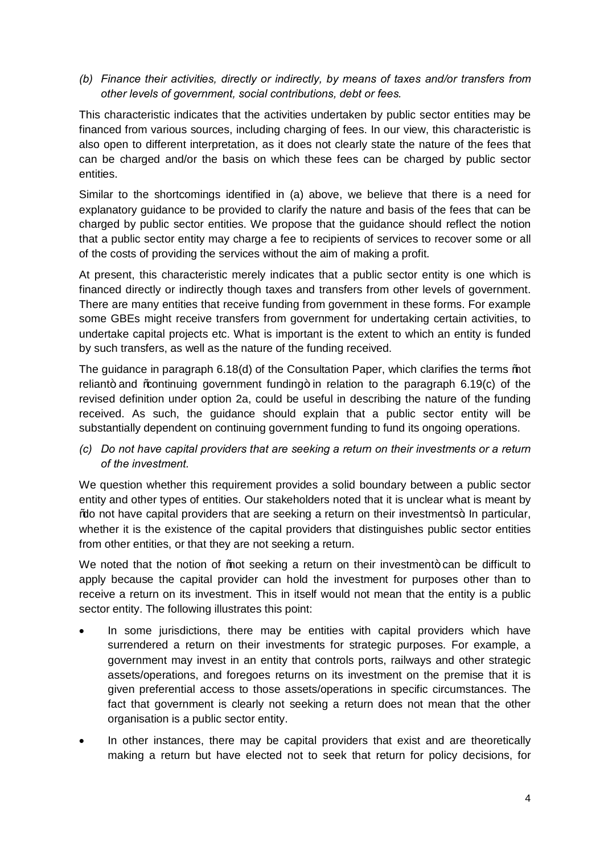*(b) Finance their activities, directly or indirectly, by means of taxes and/or transfers from other levels of government, social contributions, debt or fees.*

This characteristic indicates that the activities undertaken by public sector entities may be financed from various sources, including charging of fees. In our view, this characteristic is also open to different interpretation, as it does not clearly state the nature of the fees that can be charged and/or the basis on which these fees can be charged by public sector entities.

Similar to the shortcomings identified in (a) above, we believe that there is a need for explanatory guidance to be provided to clarify the nature and basis of the fees that can be charged by public sector entities. We propose that the guidance should reflect the notion that a public sector entity may charge a fee to recipients of services to recover some or all of the costs of providing the services without the aim of making a profit.

At present, this characteristic merely indicates that a public sector entity is one which is financed directly or indirectly though taxes and transfers from other levels of government. There are many entities that receive funding from government in these forms. For example some GBEs might receive transfers from government for undertaking certain activities, to undertake capital projects etc. What is important is the extent to which an entity is funded by such transfers, as well as the nature of the funding received.

The guidance in paragraph  $6.18(d)$  of the Consultation Paper, which clarifies the terms  $%$  ot reliant+ and % continuing government funding + in relation to the paragraph 6.19(c) of the revised definition under option 2a, could be useful in describing the nature of the funding received. As such, the guidance should explain that a public sector entity will be substantially dependent on continuing government funding to fund its ongoing operations.

*(c) Do not have capital providers that are seeking a return on their investments or a return of the investment.*

We question whether this requirement provides a solid boundary between a public sector entity and other types of entities. Our stakeholders noted that it is unclear what is meant by % to not have capital providers that are seeking a return on their investments +. In particular, whether it is the existence of the capital providers that distinguishes public sector entities from other entities, or that they are not seeking a return.

We noted that the notion of  $%$  sot seeking a return on their investment+ can be difficult to apply because the capital provider can hold the investment for purposes other than to receive a return on its investment. This in itself would not mean that the entity is a public sector entity. The following illustrates this point:

- In some jurisdictions, there may be entities with capital providers which have surrendered a return on their investments for strategic purposes. For example, a government may invest in an entity that controls ports, railways and other strategic assets/operations, and foregoes returns on its investment on the premise that it is given preferential access to those assets/operations in specific circumstances. The fact that government is clearly not seeking a return does not mean that the other organisation is a public sector entity.
- In other instances, there may be capital providers that exist and are theoretically making a return but have elected not to seek that return for policy decisions, for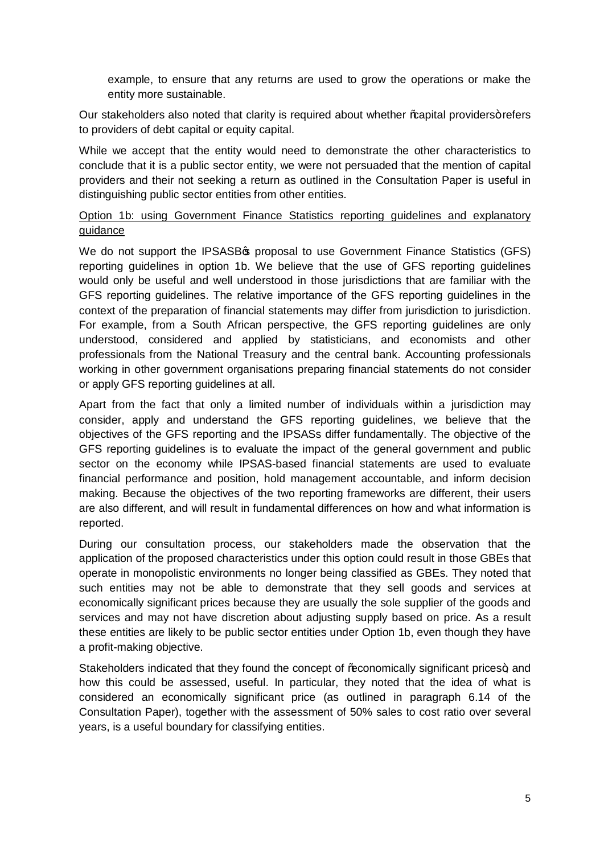example, to ensure that any returns are used to grow the operations or make the entity more sustainable.

Our stakeholders also noted that clarity is required about whether % apital providers+ refers to providers of debt capital or equity capital.

While we accept that the entity would need to demonstrate the other characteristics to conclude that it is a public sector entity, we were not persuaded that the mention of capital providers and their not seeking a return as outlined in the Consultation Paper is useful in distinguishing public sector entities from other entities.

### Option 1b: using Government Finance Statistics reporting guidelines and explanatory guidance

We do not support the IPSASB<sup>®</sup> proposal to use Government Finance Statistics (GFS) reporting guidelines in option 1b. We believe that the use of GFS reporting guidelines would only be useful and well understood in those jurisdictions that are familiar with the GFS reporting guidelines. The relative importance of the GFS reporting guidelines in the context of the preparation of financial statements may differ from jurisdiction to jurisdiction. For example, from a South African perspective, the GFS reporting guidelines are only understood, considered and applied by statisticians, and economists and other professionals from the National Treasury and the central bank. Accounting professionals working in other government organisations preparing financial statements do not consider or apply GFS reporting guidelines at all.

Apart from the fact that only a limited number of individuals within a jurisdiction may consider, apply and understand the GFS reporting guidelines, we believe that the objectives of the GFS reporting and the IPSASs differ fundamentally. The objective of the GFS reporting guidelines is to evaluate the impact of the general government and public sector on the economy while IPSAS-based financial statements are used to evaluate financial performance and position, hold management accountable, and inform decision making. Because the objectives of the two reporting frameworks are different, their users are also different, and will result in fundamental differences on how and what information is reported.

During our consultation process, our stakeholders made the observation that the application of the proposed characteristics under this option could result in those GBEs that operate in monopolistic environments no longer being classified as GBEs. They noted that such entities may not be able to demonstrate that they sell goods and services at economically significant prices because they are usually the sole supplier of the goods and services and may not have discretion about adjusting supply based on price. As a result these entities are likely to be public sector entities under Option 1b, even though they have a profit-making objective.

Stakeholders indicated that they found the concept of % conomically significant prices+, and how this could be assessed, useful. In particular, they noted that the idea of what is considered an economically significant price (as outlined in paragraph 6.14 of the Consultation Paper), together with the assessment of 50% sales to cost ratio over several years, is a useful boundary for classifying entities.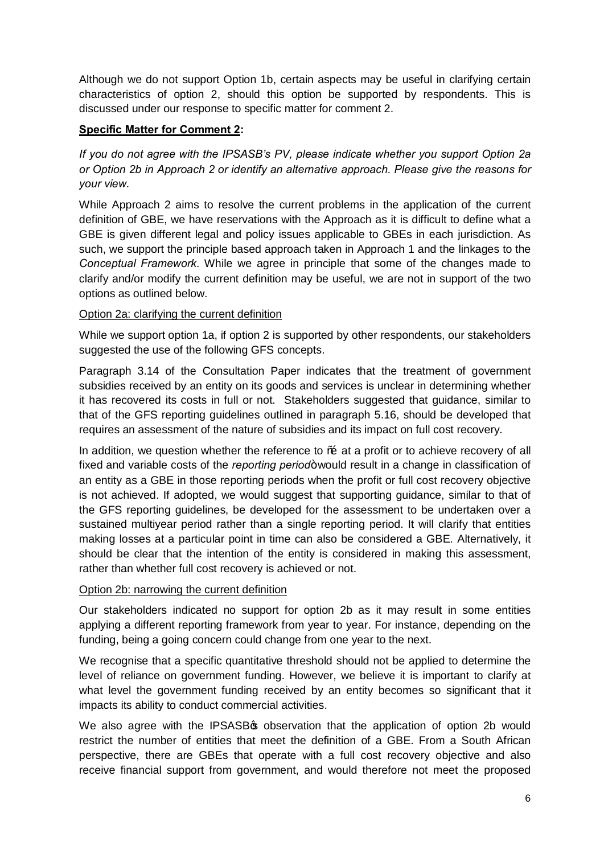Although we do not support Option 1b, certain aspects may be useful in clarifying certain characteristics of option 2, should this option be supported by respondents. This is discussed under our response to specific matter for comment 2.

## **Specific Matter for Comment 2:**

*If you do not agree with the IPSASB's PV, please indicate whether you support Option 2a or Option 2b in Approach 2 or identify an alternative approach. Please give the reasons for your view.*

While Approach 2 aims to resolve the current problems in the application of the current definition of GBE, we have reservations with the Approach as it is difficult to define what a GBE is given different legal and policy issues applicable to GBEs in each jurisdiction. As such, we support the principle based approach taken in Approach 1 and the linkages to the *Conceptual Framework*. While we agree in principle that some of the changes made to clarify and/or modify the current definition may be useful, we are not in support of the two options as outlined below.

#### Option 2a: clarifying the current definition

While we support option 1a, if option 2 is supported by other respondents, our stakeholders suggested the use of the following GFS concepts.

Paragraph 3.14 of the Consultation Paper indicates that the treatment of government subsidies received by an entity on its goods and services is unclear in determining whether it has recovered its costs in full or not. Stakeholders suggested that guidance, similar to that of the GFS reporting guidelines outlined in paragraph 5.16, should be developed that requires an assessment of the nature of subsidies and its impact on full cost recovery.

In addition, we question whether the reference to % at a profit or to achieve recovery of all fixed and variable costs of the *reporting period*+would result in a change in classification of an entity as a GBE in those reporting periods when the profit or full cost recovery objective is not achieved. If adopted, we would suggest that supporting guidance, similar to that of the GFS reporting guidelines, be developed for the assessment to be undertaken over a sustained multiyear period rather than a single reporting period. It will clarify that entities making losses at a particular point in time can also be considered a GBE. Alternatively, it should be clear that the intention of the entity is considered in making this assessment, rather than whether full cost recovery is achieved or not.

#### Option 2b: narrowing the current definition

Our stakeholders indicated no support for option 2b as it may result in some entities applying a different reporting framework from year to year. For instance, depending on the funding, being a going concern could change from one year to the next.

We recognise that a specific quantitative threshold should not be applied to determine the level of reliance on government funding. However, we believe it is important to clarify at what level the government funding received by an entity becomes so significant that it impacts its ability to conduct commercial activities.

We also agree with the IPSASB<sup>\$</sup> observation that the application of option 2b would restrict the number of entities that meet the definition of a GBE. From a South African perspective, there are GBEs that operate with a full cost recovery objective and also receive financial support from government, and would therefore not meet the proposed